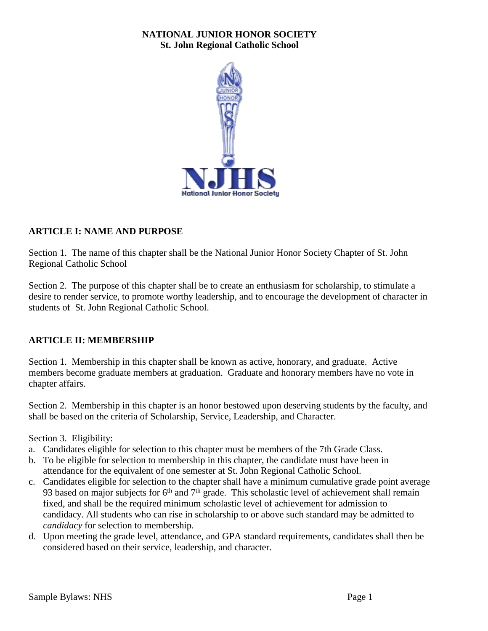### **NATIONAL JUNIOR HONOR SOCIETY St. John Regional Catholic School**



#### **ARTICLE I: NAME AND PURPOSE**

Section 1. The name of this chapter shall be the National Junior Honor Society Chapter of St. John Regional Catholic School

Section 2. The purpose of this chapter shall be to create an enthusiasm for scholarship, to stimulate a desire to render service, to promote worthy leadership, and to encourage the development of character in students of St. John Regional Catholic School.

#### **ARTICLE II: MEMBERSHIP**

Section 1. Membership in this chapter shall be known as active, honorary, and graduate. Active members become graduate members at graduation. Graduate and honorary members have no vote in chapter affairs.

Section 2. Membership in this chapter is an honor bestowed upon deserving students by the faculty, and shall be based on the criteria of Scholarship, Service, Leadership, and Character.

Section 3. Eligibility:

- a. Candidates eligible for selection to this chapter must be members of the 7th Grade Class.
- b. To be eligible for selection to membership in this chapter, the candidate must have been in attendance for the equivalent of one semester at St. John Regional Catholic School.
- c. Candidates eligible for selection to the chapter shall have a minimum cumulative grade point average 93 based on major subjects for  $6<sup>th</sup>$  and  $7<sup>th</sup>$  grade. This scholastic level of achievement shall remain fixed, and shall be the required minimum scholastic level of achievement for admission to candidacy. All students who can rise in scholarship to or above such standard may be admitted to *candidacy* for selection to membership.
- d. Upon meeting the grade level, attendance, and GPA standard requirements, candidates shall then be considered based on their service, leadership, and character.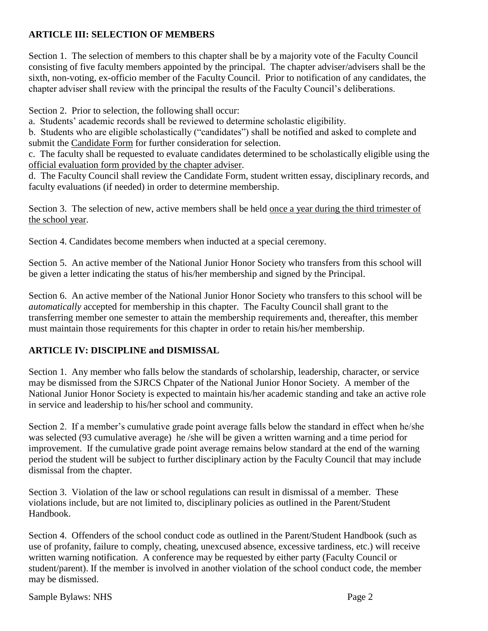# **ARTICLE III: SELECTION OF MEMBERS**

Section 1. The selection of members to this chapter shall be by a majority vote of the Faculty Council consisting of five faculty members appointed by the principal. The chapter adviser/advisers shall be the sixth, non-voting, ex-officio member of the Faculty Council. Prior to notification of any candidates, the chapter adviser shall review with the principal the results of the Faculty Council's deliberations.

Section 2. Prior to selection, the following shall occur:

a. Students' academic records shall be reviewed to determine scholastic eligibility.

b. Students who are eligible scholastically ("candidates") shall be notified and asked to complete and submit the Candidate Form for further consideration for selection.

c. The faculty shall be requested to evaluate candidates determined to be scholastically eligible using the official evaluation form provided by the chapter adviser.

d. The Faculty Council shall review the Candidate Form, student written essay, disciplinary records, and faculty evaluations (if needed) in order to determine membership.

Section 3. The selection of new, active members shall be held once a year during the third trimester of the school year.

Section 4. Candidates become members when inducted at a special ceremony.

Section 5. An active member of the National Junior Honor Society who transfers from this school will be given a letter indicating the status of his/her membership and signed by the Principal.

Section 6. An active member of the National Junior Honor Society who transfers to this school will be *automatically* accepted for membership in this chapter. The Faculty Council shall grant to the transferring member one semester to attain the membership requirements and, thereafter, this member must maintain those requirements for this chapter in order to retain his/her membership.

# **ARTICLE IV: DISCIPLINE and DISMISSAL**

Section 1. Any member who falls below the standards of scholarship, leadership, character, or service may be dismissed from the SJRCS Chpater of the National Junior Honor Society. A member of the National Junior Honor Society is expected to maintain his/her academic standing and take an active role in service and leadership to his/her school and community.

Section 2. If a member's cumulative grade point average falls below the standard in effect when he/she was selected (93 cumulative average) he /she will be given a written warning and a time period for improvement. If the cumulative grade point average remains below standard at the end of the warning period the student will be subject to further disciplinary action by the Faculty Council that may include dismissal from the chapter.

Section 3. Violation of the law or school regulations can result in dismissal of a member. These violations include, but are not limited to, disciplinary policies as outlined in the Parent/Student Handbook.

Section 4. Offenders of the school conduct code as outlined in the Parent/Student Handbook (such as use of profanity, failure to comply, cheating, unexcused absence, excessive tardiness, etc.) will receive written warning notification. A conference may be requested by either party (Faculty Council or student/parent). If the member is involved in another violation of the school conduct code, the member may be dismissed.

Sample Bylaws: NHS Page 2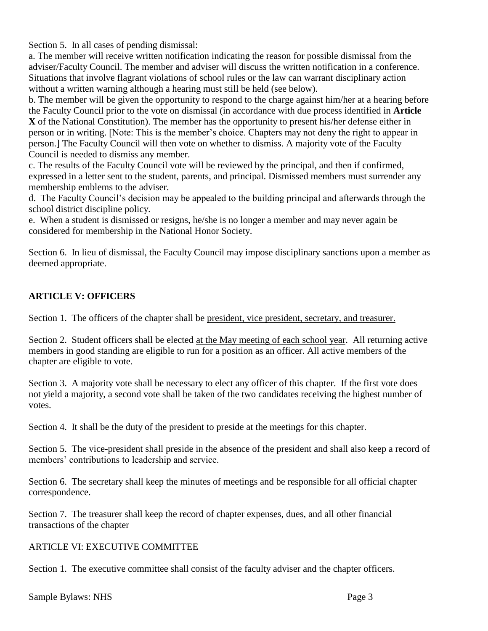Section 5. In all cases of pending dismissal:

a. The member will receive written notification indicating the reason for possible dismissal from the adviser/Faculty Council. The member and adviser will discuss the written notification in a conference. Situations that involve flagrant violations of school rules or the law can warrant disciplinary action without a written warning although a hearing must still be held (see below).

b. The member will be given the opportunity to respond to the charge against him/her at a hearing before the Faculty Council prior to the vote on dismissal (in accordance with due process identified in **Article X** of the National Constitution). The member has the opportunity to present his/her defense either in person or in writing. [Note: This is the member's choice. Chapters may not deny the right to appear in person.] The Faculty Council will then vote on whether to dismiss. A majority vote of the Faculty Council is needed to dismiss any member.

c. The results of the Faculty Council vote will be reviewed by the principal, and then if confirmed, expressed in a letter sent to the student, parents, and principal. Dismissed members must surrender any membership emblems to the adviser.

d. The Faculty Council's decision may be appealed to the building principal and afterwards through the school district discipline policy.

e. When a student is dismissed or resigns, he/she is no longer a member and may never again be considered for membership in the National Honor Society.

Section 6. In lieu of dismissal, the Faculty Council may impose disciplinary sanctions upon a member as deemed appropriate.

## **ARTICLE V: OFFICERS**

Section 1. The officers of the chapter shall be president, vice president, secretary, and treasurer.

Section 2. Student officers shall be elected at the May meeting of each school year. All returning active members in good standing are eligible to run for a position as an officer. All active members of the chapter are eligible to vote.

Section 3. A majority vote shall be necessary to elect any officer of this chapter. If the first vote does not yield a majority, a second vote shall be taken of the two candidates receiving the highest number of votes.

Section 4. It shall be the duty of the president to preside at the meetings for this chapter.

Section 5. The vice-president shall preside in the absence of the president and shall also keep a record of members' contributions to leadership and service.

Section 6. The secretary shall keep the minutes of meetings and be responsible for all official chapter correspondence.

Section 7. The treasurer shall keep the record of chapter expenses, dues, and all other financial transactions of the chapter

#### ARTICLE VI: EXECUTIVE COMMITTEE

Section 1. The executive committee shall consist of the faculty adviser and the chapter officers.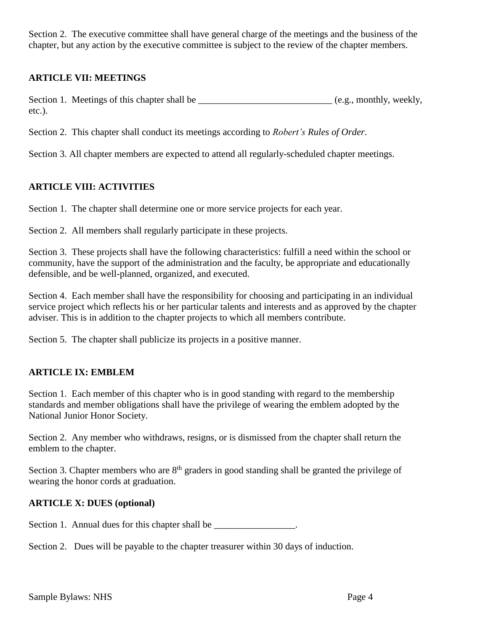Section 2. The executive committee shall have general charge of the meetings and the business of the chapter, but any action by the executive committee is subject to the review of the chapter members.

## **ARTICLE VII: MEETINGS**

Section 1. Meetings of this chapter shall be \_\_\_\_\_\_\_\_\_\_\_\_\_\_\_\_\_\_\_\_\_\_\_\_\_\_\_\_ (e.g., monthly, weekly, etc.).

Section 2. This chapter shall conduct its meetings according to *Robert's Rules of Order*.

Section 3. All chapter members are expected to attend all regularly-scheduled chapter meetings.

# **ARTICLE VIII: ACTIVITIES**

Section 1. The chapter shall determine one or more service projects for each year.

Section 2. All members shall regularly participate in these projects.

Section 3. These projects shall have the following characteristics: fulfill a need within the school or community, have the support of the administration and the faculty, be appropriate and educationally defensible, and be well-planned, organized, and executed.

Section 4. Each member shall have the responsibility for choosing and participating in an individual service project which reflects his or her particular talents and interests and as approved by the chapter adviser. This is in addition to the chapter projects to which all members contribute.

Section 5. The chapter shall publicize its projects in a positive manner.

# **ARTICLE IX: EMBLEM**

Section 1. Each member of this chapter who is in good standing with regard to the membership standards and member obligations shall have the privilege of wearing the emblem adopted by the National Junior Honor Society.

Section 2. Any member who withdraws, resigns, or is dismissed from the chapter shall return the emblem to the chapter.

Section 3. Chapter members who are  $8<sup>th</sup>$  graders in good standing shall be granted the privilege of wearing the honor cords at graduation.

#### **ARTICLE X: DUES (optional)**

Section 1. Annual dues for this chapter shall be \_\_\_\_\_\_\_\_\_\_\_\_\_\_\_\_\_\_.

Section 2. Dues will be payable to the chapter treasurer within 30 days of induction.